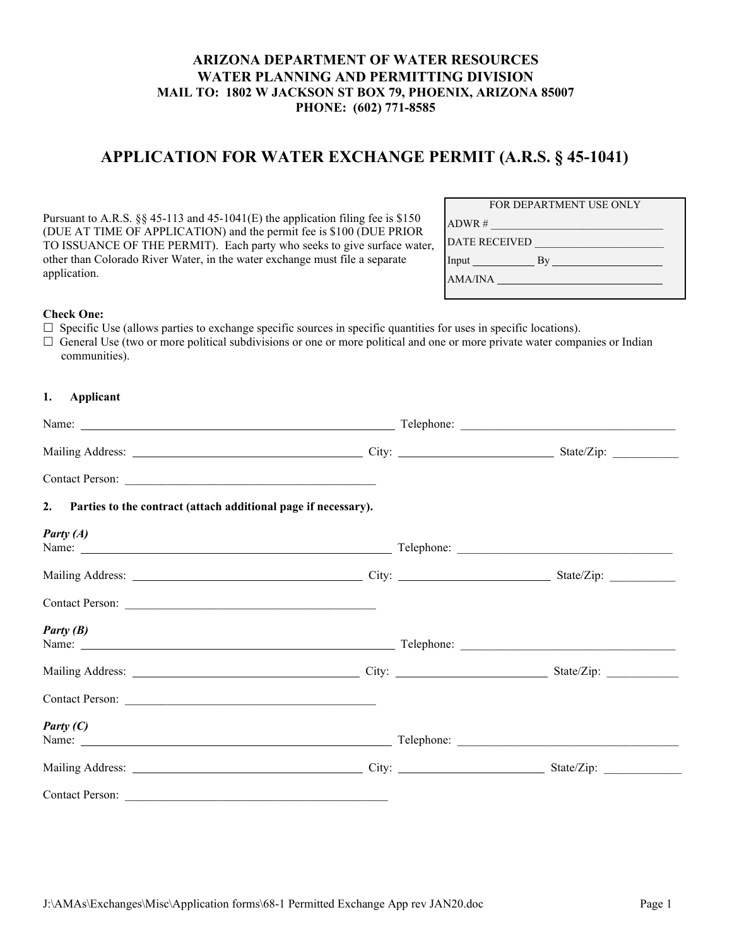## **ARIZONA DEPARTMENT OF WATER RESOURCES WATER PLANNING AND PERMITTING DIVISION MAIL TO: 1802 W JACKSON ST BOX 79, PHOENIX, ARIZONA 85007 PHONE: (602) 771-8585**

## **APPLICATION FOR WATER EXCHANGE PERMIT (A.R.S. § 45-1041)**

Pursuant to A.R.S. §§ 45-113 and 45-1041(E) the application filing fee is \$150 (DUE AT TIME OF APPLICATION) and the permit fee is \$100 (DUE PRIOR TO ISSUANCE OF THE PERMIT). Each party who seeks to give surface water, other than Colorado River Water, in the water exchange must file a separate application.

| FOR DEPARTMENT USE ONLY |  |
|-------------------------|--|
| $ADWR \#$               |  |
| DATE RECEIVED           |  |
| Input<br>Rν             |  |

AMA/INA

## **Check One:**

- $\Box$  Specific Use (allows parties to exchange specific sources in specific quantities for uses in specific locations).
- $\Box$  General Use (two or more political subdivisions or one or more political and one or more private water companies or Indian communities).

## **1. Applicant**

| 2. Parties to the contract (attach additional page if necessary). |  |  |
|-------------------------------------------------------------------|--|--|
| Party (A)                                                         |  |  |
|                                                                   |  |  |
| Contact Person:                                                   |  |  |
| Party (B)                                                         |  |  |
|                                                                   |  |  |
|                                                                   |  |  |
| Party (C)                                                         |  |  |
|                                                                   |  |  |
|                                                                   |  |  |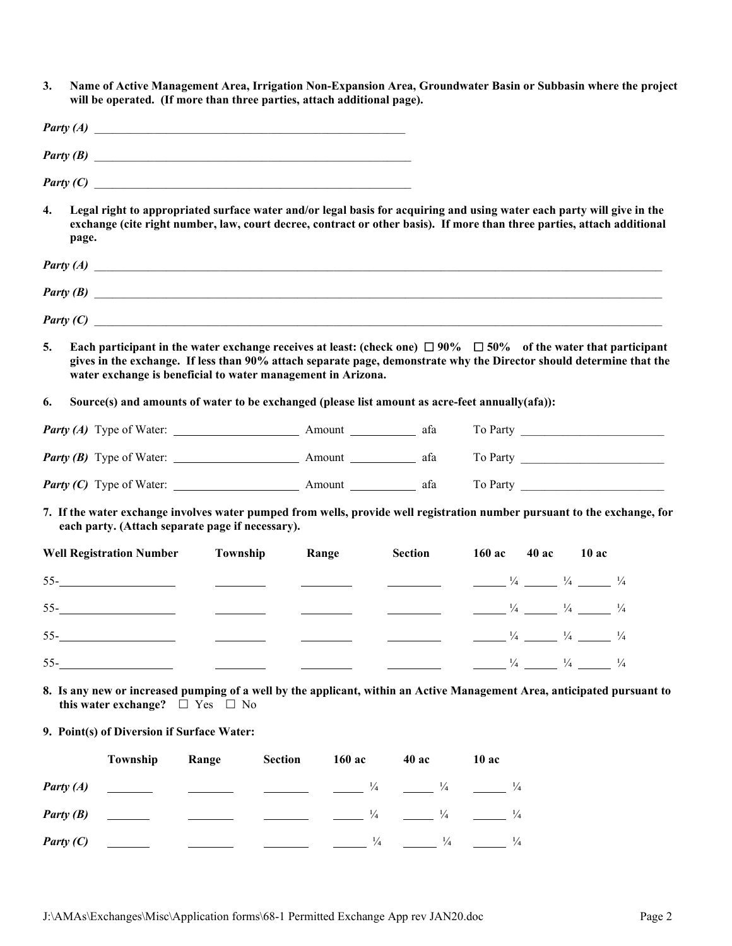**3. Name of Active Management Area, Irrigation Non-Expansion Area, Groundwater Basin or Subbasin where the project will be operated. (If more than three parties, attach additional page).**

|    | $\text{Party}(\mathcal{B})$                                                                                                                                                                                                                                                                                       |
|----|-------------------------------------------------------------------------------------------------------------------------------------------------------------------------------------------------------------------------------------------------------------------------------------------------------------------|
|    |                                                                                                                                                                                                                                                                                                                   |
| 4. | Legal right to appropriated surface water and/or legal basis for acquiring and using water each party will give in the<br>exchange (cite right number, law, court decree, contract or other basis). If more than three parties, attach additional<br>page.                                                        |
|    |                                                                                                                                                                                                                                                                                                                   |
|    |                                                                                                                                                                                                                                                                                                                   |
|    |                                                                                                                                                                                                                                                                                                                   |
| 5. | Each participant in the water exchange receives at least: (check one) $\Box$ 90% $\Box$ 50% of the water that participant<br>gives in the exchange. If less than 90% attach separate page, demonstrate why the Director should determine that the<br>water exchange is beneficial to water management in Arizona. |
| 6. | Source(s) and amounts of water to be exchanged (please list amount as acre-feet annually(afa)):                                                                                                                                                                                                                   |

| <b>Party (A)</b> Type of Water:        | Amount | afa | To Party |
|----------------------------------------|--------|-----|----------|
| <b><i>Party (B)</i></b> Type of Water: | Amount | afa | To Party |
| <b>Party (C)</b> Type of Water:        | Amount | afa | To Party |

**7. If the water exchange involves water pumped from wells, provide well registration number pursuant to the exchange, for each party. (Attach separate page if necessary).**

| Well Registration Number Township Range                                                                                                                                                                                                                                                                               |  | Section 160 ac 40 ac 10 ac                                            |                                                         |  |
|-----------------------------------------------------------------------------------------------------------------------------------------------------------------------------------------------------------------------------------------------------------------------------------------------------------------------|--|-----------------------------------------------------------------------|---------------------------------------------------------|--|
| 55-100 $\frac{1}{4}$ $\frac{1}{4}$ $\frac{1}{4}$ $\frac{1}{4}$ $\frac{1}{4}$ $\frac{1}{4}$ $\frac{1}{4}$ $\frac{1}{4}$ $\frac{1}{4}$ $\frac{1}{4}$ $\frac{1}{4}$ $\frac{1}{4}$ $\frac{1}{4}$ $\frac{1}{4}$ $\frac{1}{4}$ $\frac{1}{4}$ $\frac{1}{4}$ $\frac{1}{4}$ $\frac{1}{4}$ $\frac{1}{4}$ $\frac{1}{4}$ $\frac{$ |  |                                                                       |                                                         |  |
| $\begin{array}{c} 55 \\ - \end{array}$                                                                                                                                                                                                                                                                                |  | $\frac{1}{4}$ $\frac{1}{4}$ $\frac{1}{4}$ $\frac{1}{4}$ $\frac{1}{4}$ |                                                         |  |
| $55-$                                                                                                                                                                                                                                                                                                                 |  | $\frac{1}{4}$ $\frac{1}{4}$ $\frac{1}{4}$ $\frac{1}{4}$ $\frac{1}{4}$ |                                                         |  |
| $55-$                                                                                                                                                                                                                                                                                                                 |  |                                                                       | $\frac{1}{4}$ $\frac{1}{4}$ $\frac{1}{4}$ $\frac{1}{4}$ |  |

- **8. Is any new or increased pumping of a well by the applicant, within an Active Management Area, anticipated pursuant to this water exchange?**  $\Box$  Yes  $\Box$  No
- **9. Point(s) of Diversion if Surface Water:**

|                   | Township                                                               | Range | Section | 160 ac        | <b>40 ac</b>  | <b>10 ac</b>                   |
|-------------------|------------------------------------------------------------------------|-------|---------|---------------|---------------|--------------------------------|
| Party $(A)$       | <u> 1990 - Jan Alexandro III, martxoar arteko hamarkada (h. 1980).</u> |       |         | $\frac{1}{4}$ | $\frac{1}{4}$ | $\frac{1}{4}$                  |
| Party $(B)$       |                                                                        |       |         | $\frac{1}{4}$ | $\frac{1}{4}$ | $\frac{1}{4}$                  |
| $\text{Party}(C)$ |                                                                        |       |         | $\frac{1}{4}$ |               | $\frac{1}{4}$<br>$\frac{1}{4}$ |